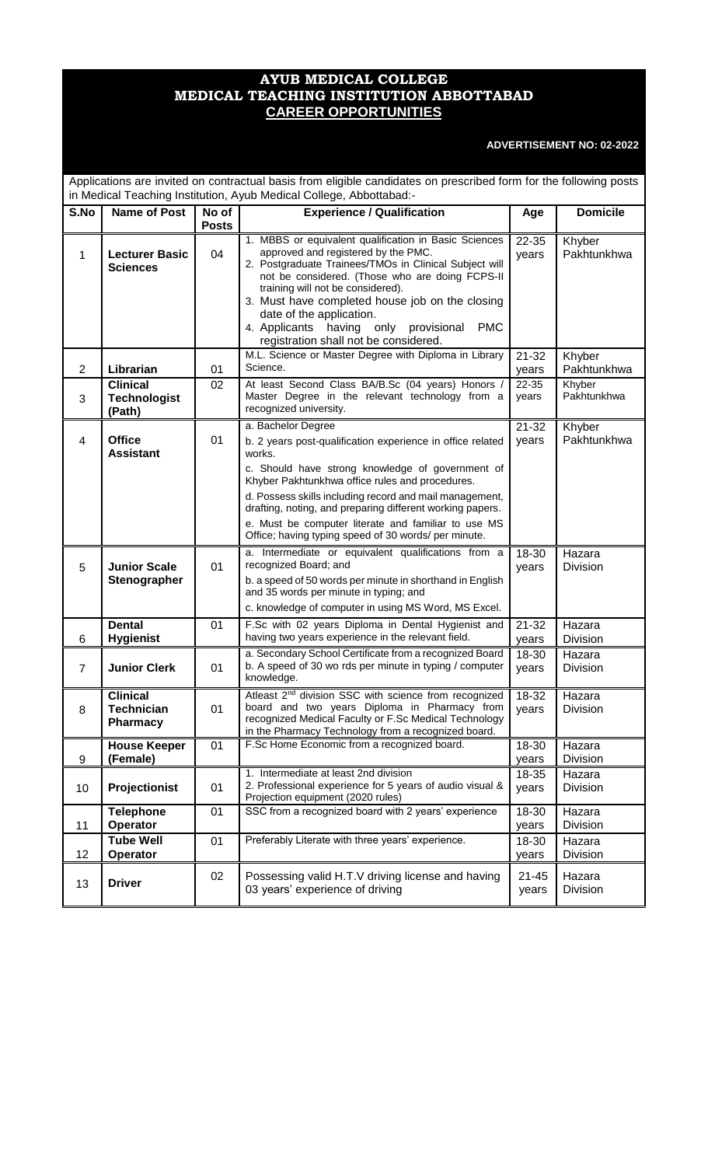# **AYUB MEDICAL COLLEGE MEDICAL TEACHING INSTITUTION ABBOTTABAD CAREER OPPORTUNITIES**

# **ADVERTISEMENT NO: 02-2022**

| Applications are invited on contractual basis from eligible candidates on prescribed form for the following posts<br>in Medical Teaching Institution, Ayub Medical College, Abbottabad:- |                                                  |                       |                                                                                                                                                                                                                                                                                                                                                                                                                                  |                    |                           |
|------------------------------------------------------------------------------------------------------------------------------------------------------------------------------------------|--------------------------------------------------|-----------------------|----------------------------------------------------------------------------------------------------------------------------------------------------------------------------------------------------------------------------------------------------------------------------------------------------------------------------------------------------------------------------------------------------------------------------------|--------------------|---------------------------|
| S.No                                                                                                                                                                                     | <b>Name of Post</b>                              | No of<br><b>Posts</b> | <b>Experience / Qualification</b>                                                                                                                                                                                                                                                                                                                                                                                                | Age                | <b>Domicile</b>           |
| 1                                                                                                                                                                                        | <b>Lecturer Basic</b><br><b>Sciences</b>         | 04                    | 1. MBBS or equivalent qualification in Basic Sciences<br>approved and registered by the PMC.<br>2. Postgraduate Trainees/TMOs in Clinical Subject will<br>not be considered. (Those who are doing FCPS-II<br>training will not be considered).<br>3. Must have completed house job on the closing<br>date of the application.<br><b>PMC</b><br>4. Applicants having only<br>provisional<br>registration shall not be considered. | 22-35<br>years     | Khyber<br>Pakhtunkhwa     |
| $\overline{2}$                                                                                                                                                                           | Librarian                                        | 01                    | M.L. Science or Master Degree with Diploma in Library<br>Science.                                                                                                                                                                                                                                                                                                                                                                | $21 - 32$<br>years | Khyber<br>Pakhtunkhwa     |
| 3                                                                                                                                                                                        | <b>Clinical</b><br><b>Technologist</b><br>(Path) | 02                    | At least Second Class BA/B.Sc (04 years) Honors /<br>Master Degree in the relevant technology from a<br>recognized university.                                                                                                                                                                                                                                                                                                   | 22-35<br>years     | Khyber<br>Pakhtunkhwa     |
| $\overline{4}$                                                                                                                                                                           | <b>Office</b><br><b>Assistant</b>                | 01                    | a. Bachelor Degree<br>b. 2 years post-qualification experience in office related<br>works.<br>c. Should have strong knowledge of government of<br>Khyber Pakhtunkhwa office rules and procedures.<br>d. Possess skills including record and mail management,                                                                                                                                                                     | $21 - 32$<br>years | Khyber<br>Pakhtunkhwa     |
|                                                                                                                                                                                          |                                                  |                       | drafting, noting, and preparing different working papers.<br>e. Must be computer literate and familiar to use MS<br>Office; having typing speed of 30 words/ per minute.                                                                                                                                                                                                                                                         |                    |                           |
| 5                                                                                                                                                                                        | <b>Junior Scale</b><br>Stenographer              | 01                    | a. Intermediate or equivalent qualifications from a<br>recognized Board; and<br>b. a speed of 50 words per minute in shorthand in English<br>and 35 words per minute in typing; and<br>c. knowledge of computer in using MS Word, MS Excel.                                                                                                                                                                                      | 18-30<br>years     | Hazara<br><b>Division</b> |
| 6                                                                                                                                                                                        | <b>Dental</b><br><b>Hygienist</b>                | 01                    | F.Sc with 02 years Diploma in Dental Hygienist and<br>having two years experience in the relevant field.                                                                                                                                                                                                                                                                                                                         | $21 - 32$<br>years | Hazara<br>Division        |
| $\overline{7}$                                                                                                                                                                           | <b>Junior Clerk</b>                              | 01                    | a. Secondary School Certificate from a recognized Board<br>b. A speed of 30 wo rds per minute in typing / computer<br>knowledge.                                                                                                                                                                                                                                                                                                 | 18-30<br>years     | Hazara<br>Division        |
| 8                                                                                                                                                                                        | Clinical<br><b>Technician</b><br><b>Pharmacy</b> | 01                    | Atleast 2 <sup>nd</sup> division SSC with science from recognized<br>board and two years Diploma in Pharmacy from<br>recognized Medical Faculty or F.Sc Medical Technology<br>in the Pharmacy Technology from a recognized board.                                                                                                                                                                                                | 18-32<br>years     | Hazara<br>Division        |
| 9                                                                                                                                                                                        | <b>House Keeper</b><br>(Female)                  | 01                    | F.Sc Home Economic from a recognized board.                                                                                                                                                                                                                                                                                                                                                                                      | 18-30<br>years     | Hazara<br>Division        |
| 10                                                                                                                                                                                       | Projectionist                                    | 01                    | 1. Intermediate at least 2nd division<br>2. Professional experience for 5 years of audio visual &<br>Projection equipment (2020 rules)                                                                                                                                                                                                                                                                                           | 18-35<br>years     | Hazara<br><b>Division</b> |
| 11                                                                                                                                                                                       | <b>Telephone</b><br>Operator                     | 01                    | SSC from a recognized board with 2 years' experience                                                                                                                                                                                                                                                                                                                                                                             | 18-30<br>years     | Hazara<br>Division        |
| 12                                                                                                                                                                                       | <b>Tube Well</b><br>Operator                     | 01                    | Preferably Literate with three years' experience.                                                                                                                                                                                                                                                                                                                                                                                | 18-30<br>years     | Hazara<br>Division        |
| 13                                                                                                                                                                                       | <b>Driver</b>                                    | 02                    | Possessing valid H.T.V driving license and having<br>03 years' experience of driving                                                                                                                                                                                                                                                                                                                                             | $21 - 45$<br>years | Hazara<br><b>Division</b> |